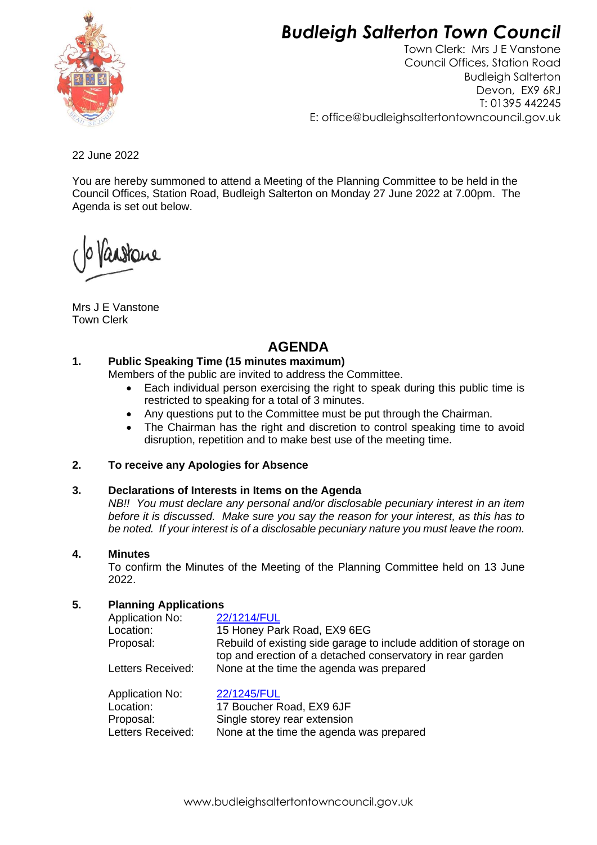# *Budleigh Salterton Town Council*



Town Clerk: Mrs J E Vanstone Council Offices, Station Road Budleigh Salterton Devon, EX9 6RJ T: 01395 442245 E: office@budleighsaltertontowncouncil.gov.uk

22 June 2022

You are hereby summoned to attend a Meeting of the Planning Committee to be held in the Council Offices, Station Road, Budleigh Salterton on Monday 27 June 2022 at 7.00pm. The Agenda is set out below.

Mrs J E Vanstone Town Clerk

# **AGENDA**

# **1. Public Speaking Time (15 minutes maximum)**

Members of the public are invited to address the Committee.

- Each individual person exercising the right to speak during this public time is restricted to speaking for a total of 3 minutes.
- Any questions put to the Committee must be put through the Chairman.
- The Chairman has the right and discretion to control speaking time to avoid disruption, repetition and to make best use of the meeting time.

# **2. To receive any Apologies for Absence**

#### **3. Declarations of Interests in Items on the Agenda**

*NB!! You must declare any personal and/or disclosable pecuniary interest in an item before it is discussed. Make sure you say the reason for your interest, as this has to be noted. If your interest is of a disclosable pecuniary nature you must leave the room.*

#### **4. Minutes**

To confirm the Minutes of the Meeting of the Planning Committee held on 13 June 2022.

# **5. Planning Applications**

| <b>Application No:</b> | 22/1214/FUL                                                                                                                     |
|------------------------|---------------------------------------------------------------------------------------------------------------------------------|
| Location:              | 15 Honey Park Road, EX9 6EG                                                                                                     |
| Proposal:              | Rebuild of existing side garage to include addition of storage on<br>top and erection of a detached conservatory in rear garden |
| Letters Received:      | None at the time the agenda was prepared                                                                                        |
| <b>Application No:</b> | 22/1245/FUL                                                                                                                     |
| Location:              | 17 Boucher Road, EX9 6JF                                                                                                        |
| Proposal:              | Single storey rear extension                                                                                                    |